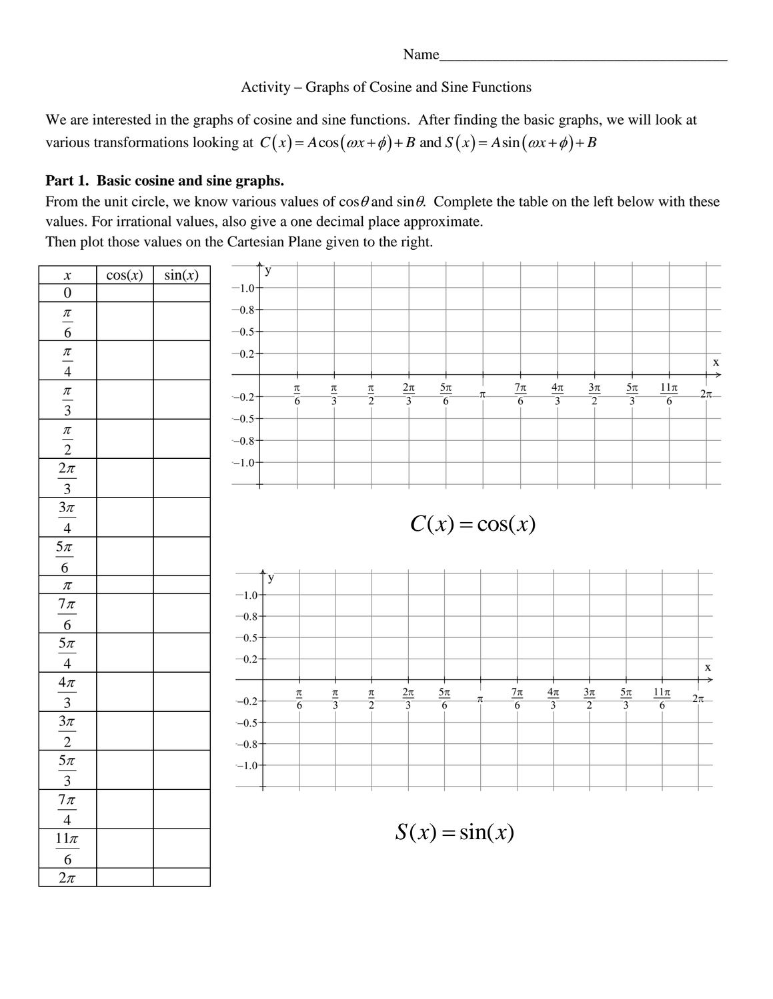Name\_

### Activity – Graphs of Cosine and Sine Functions

We are interested in the graphs of cosine and sine functions. After finding the basic graphs, we will look at We are interested in the graphs of cosine and sine functions. After finding the basic graphs, we w<br>various transformations looking at  $C(x) = A\cos(\omega x + \phi) + B$  and  $S(x) = A\sin(\omega x + \phi) + B$ 

## **Part 1. Basic cosine and sine graphs.**

From the unit circle, we know various values of  $\cos\theta$  and  $\sin\theta$ . Complete the table on the left below with these values. For irrational values, also give a one decimal place approximate. Then plot those values on the Cartesian Plane given to the right.

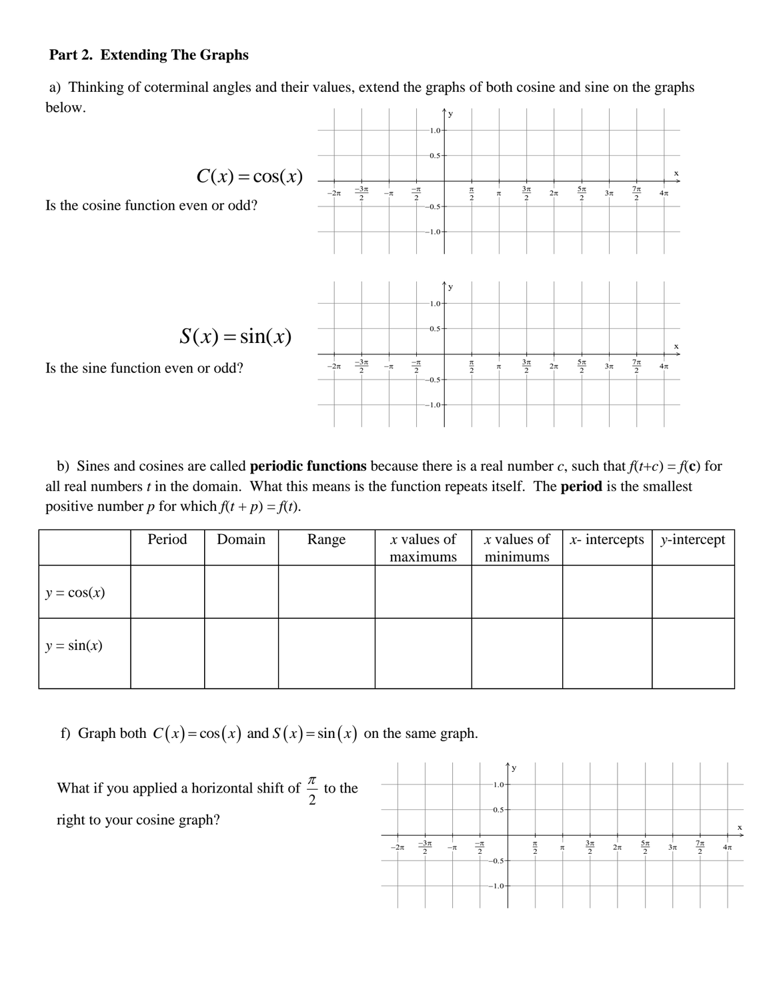#### **Part 2. Extending The Graphs**

a) Thinking of coterminal angles and their values, extend the graphs of both cosine and sine on the graphs below. y



b) Sines and cosines are called **periodic functions** because there is a real number *c*, such that  $f(t+c) = f(c)$  for all real numbers *t* in the domain. What this means is the function repeats itself. The **period** is the smallest positive number *p* for which  $f(t + p) = f(t)$ .

|              | Period | Domain | Range | $x$ values of<br>maximums | $x$ values of<br>minimums | $x$ - intercepts | $y-intercept$ |
|--------------|--------|--------|-------|---------------------------|---------------------------|------------------|---------------|
|              |        |        |       |                           |                           |                  |               |
| $y = cos(x)$ |        |        |       |                           |                           |                  |               |
| $y = sin(x)$ |        |        |       |                           |                           |                  |               |

f) Graph both  $C(x) = cos(x)$  and  $S(x) = sin(x)$  on the same graph.

 What if you applied a horizontal shift of 2  $\frac{\pi}{2}$  to the right to your cosine graph?

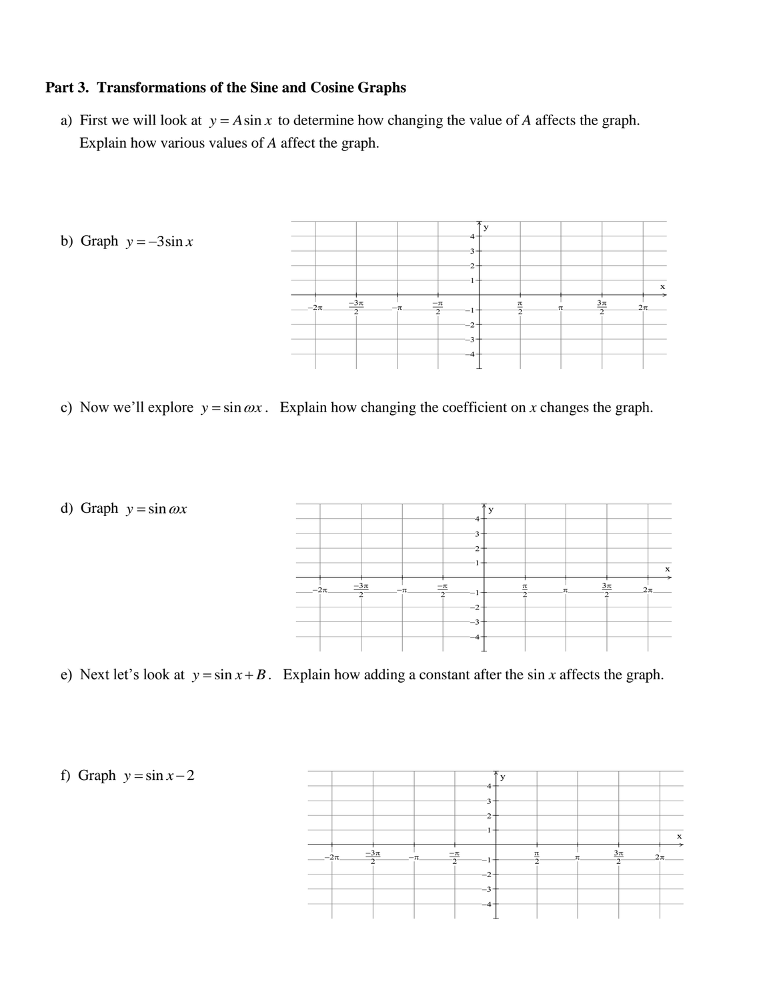### **Part 3. Transformations of the Sine and Cosine Graphs**

a) First we will look at  $y = A \sin x$  to determine how changing the value of *A* affects the graph. Explain how various values of *A* affect the graph.



c) Now we'll explore  $y = \sin \omega x$ . Explain how changing the coefficient on *x* changes the graph.



e) Next let's look at  $y = \sin x + B$ . Explain how adding a constant after the sin *x* affects the graph.

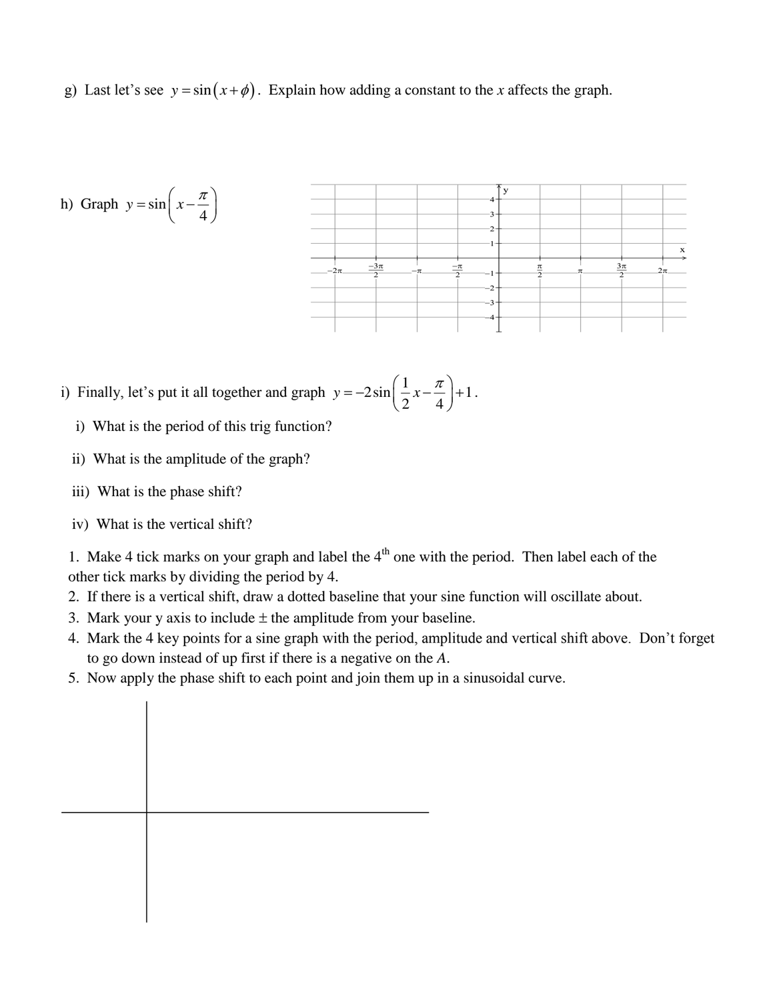g) Last let's see  $y = sin(x + \phi)$ . Explain how adding a constant to the *x* affects the graph.



- i) Finally, let's put it all together and graph  $y = -2\sin\left(\frac{1}{2}x \frac{\pi}{4}\right) + 1$  $\frac{2}{2}x-\frac{1}{4}$  $y = -2\sin\left(\frac{1}{2}x - \frac{\pi}{4}\right) + 1$ .
	- i) What is the period of this trig function?
	- ii) What is the amplitude of the graph?
	- iii) What is the phase shift?
	- iv) What is the vertical shift?

1. Make 4 tick marks on your graph and label the  $4<sup>th</sup>$  one with the period. Then label each of the other tick marks by dividing the period by 4.

- 2. If there is a vertical shift, draw a dotted baseline that your sine function will oscillate about.
- 3. Mark your y axis to include  $\pm$  the amplitude from your baseline.
- 4. Mark the 4 key points for a sine graph with the period, amplitude and vertical shift above. Don't forget to go down instead of up first if there is a negative on the *A*.
- 5. Now apply the phase shift to each point and join them up in a sinusoidal curve.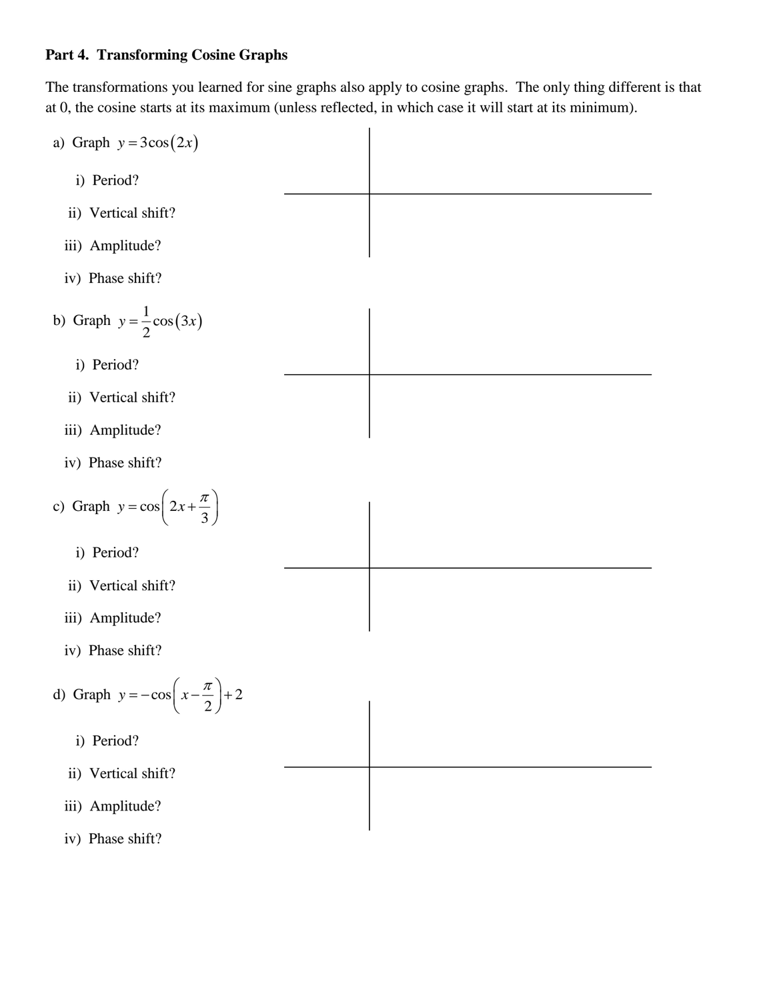### **Part 4. Transforming Cosine Graphs**

The transformations you learned for sine graphs also apply to cosine graphs. The only thing different is that at 0, the cosine starts at its maximum (unless reflected, in which case it will start at its minimum).